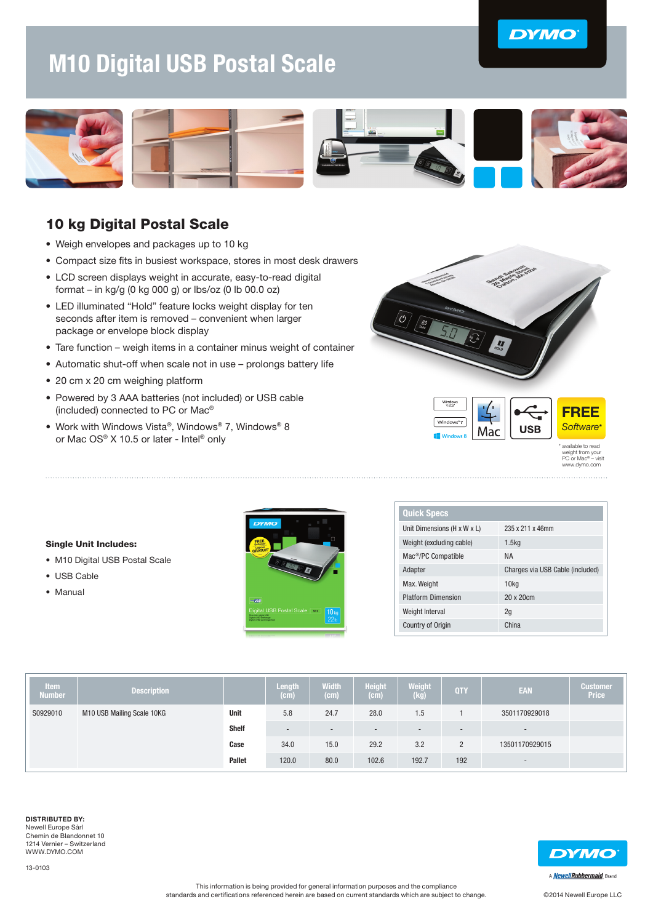## **DYMO**

# M10 Digital USB Postal Scale



### 10 kg Digital Postal Scale

- Weigh envelopes and packages up to 10 kg
- Compact size fits in busiest workspace, stores in most desk drawers
- LCD screen displays weight in accurate, easy-to-read digital format – in kg/g (0 kg 000 g) or lbs/oz (0 lb 00.0 oz)
- LED illuminated "Hold" feature locks weight display for ten seconds after item is removed – convenient when larger package or envelope block display
- Tare function weigh items in a container minus weight of container
- Automatic shut-off when scale not in use prolongs battery life
- 20 cm x 20 cm weighing platform
- Powered by 3 AAA batteries (not included) or USB cable (included) connected to PC or Mac®
- Work with Windows Vista®, Windows® 7, Windows® 8 or Mac OS® X 10.5 or later - Intel® only





available to read weight from your PC or Mac® – visit www.dymo.com

#### Single Unit Includes:

- M10 Digital USB Postal Scale
- USB Cable
- Manual



| <b>Quick Specs</b>              |                                  |
|---------------------------------|----------------------------------|
| Unit Dimensions (H x W x L)     | 235 x 211 x 46mm                 |
| Weight (excluding cable)        | 1.5 <sub>kq</sub>                |
| Mac <sup>®</sup> /PC Compatible | <b>NA</b>                        |
| Adapter                         | Charges via USB Cable (included) |
| Max. Weight                     | 10 <sub>kq</sub>                 |
| <b>Platform Dimension</b>       | $20 \times 20$ cm                |
| Weight Interval                 | 2q                               |
| <b>Country of Origin</b>        | China                            |

| <b>Atem</b><br><b>Number</b> | <b>Description</b>         |               | Length<br>(cm)           | <b>Width</b><br>(cm)     | <b>Height</b><br>(cm) | <b>Weight</b><br>(kg)    | <b>QTY</b>     | EAN                      | Customer<br><b>Price</b> |
|------------------------------|----------------------------|---------------|--------------------------|--------------------------|-----------------------|--------------------------|----------------|--------------------------|--------------------------|
| S0929010                     | M10 USB Mailing Scale 10KG | Unit          | 5.8                      | 24.7                     | 28.0                  | 1.5                      |                | 3501170929018            |                          |
|                              |                            | <b>Shelf</b>  | $\overline{\phantom{a}}$ | $\overline{\phantom{a}}$ |                       | $\overline{\phantom{a}}$ | $-$            | $-$                      |                          |
|                              |                            | Case          | 34.0                     | 15.0                     | 29.2                  | 3.2                      | $\overline{2}$ | 13501170929015           |                          |
|                              |                            | <b>Pallet</b> | 120.0                    | 80.0                     | 102.6                 | 192.7                    | 192            | $\overline{\phantom{0}}$ |                          |

#### DISTRIBUTED BY: Newell Europe Sàrl Chemin de Blandonnet 10 1214 Vernier – Switzerland WWW.DYMO.COM

13-0103